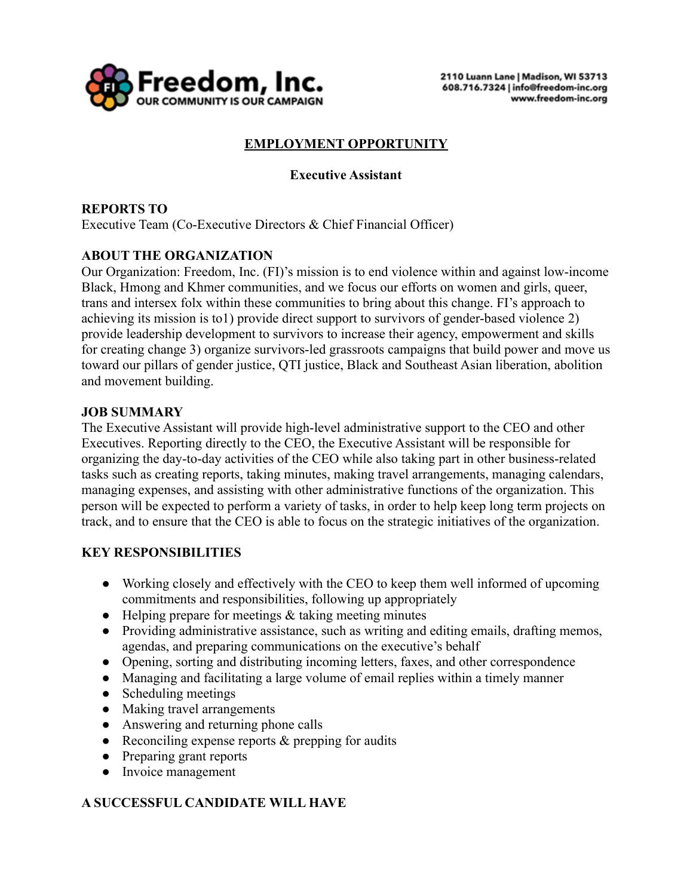

# **EMPLOYMENT OPPORTUNITY**

### **Executive Assistant**

### **REPORTS TO**

Executive Team (Co-Executive Directors & Chief Financial Officer)

### **ABOUT THE ORGANIZATION**

Our Organization: Freedom, Inc. (FI)'s mission is to end violence within and against low-income Black, Hmong and Khmer communities, and we focus our efforts on women and girls, queer, trans and intersex folx within these communities to bring about this change. FI's approach to achieving its mission is to1) provide direct support to survivors of gender-based violence 2) provide leadership development to survivors to increase their agency, empowerment and skills for creating change 3) organize survivors-led grassroots campaigns that build power and move us toward our pillars of gender justice, QTI justice, Black and Southeast Asian liberation, abolition and movement building.

#### **JOB SUMMARY**

The Executive Assistant will provide high-level administrative support to the CEO and other Executives. Reporting directly to the CEO, the Executive Assistant will be responsible for organizing the day-to-day activities of the CEO while also taking part in other business-related tasks such as creating reports, taking minutes, making travel arrangements, managing calendars, managing expenses, and assisting with other administrative functions of the organization. This person will be expected to perform a variety of tasks, in order to help keep long term projects on track, and to ensure that the CEO is able to focus on the strategic initiatives of the organization.

#### **KEY RESPONSIBILITIES**

- Working closely and effectively with the CEO to keep them well informed of upcoming commitments and responsibilities, following up appropriately
- $\bullet$  Helping prepare for meetings  $\&$  taking meeting minutes
- Providing administrative assistance, such as writing and editing emails, drafting memos, agendas, and preparing communications on the executive's behalf
- Opening, sorting and distributing incoming letters, faxes, and other correspondence
- Managing and facilitating a large volume of email replies within a timely manner
- Scheduling meetings
- Making travel arrangements
- Answering and returning phone calls
- Reconciling expense reports  $&$  prepping for audits
- Preparing grant reports
- Invoice management

## **A SUCCESSFUL CANDIDATE WILL HAVE**